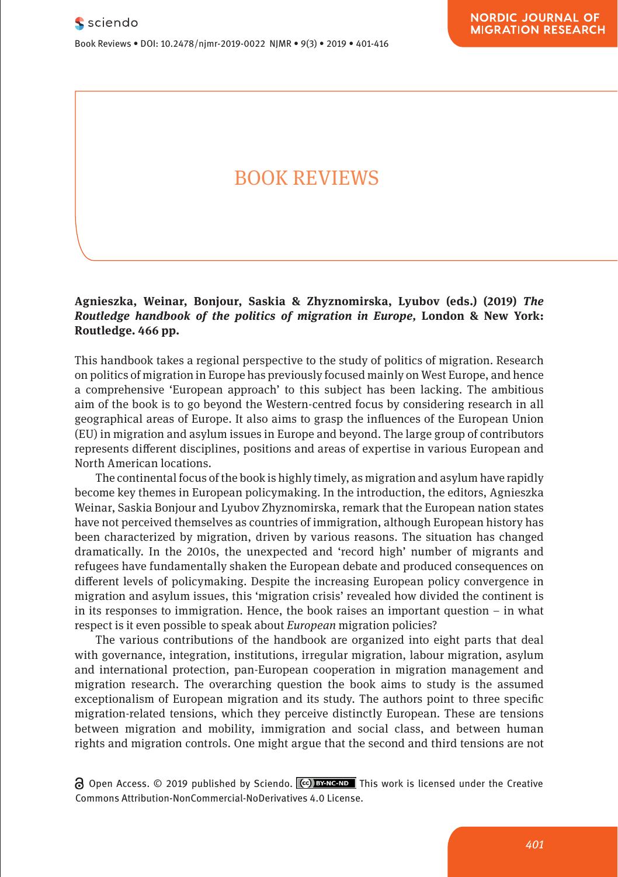Book Reviews • DOI: 10.2478/njmr-2019-0022 NJMR • 9(3) • 2019 • 401-416

# BOOK REVIEWS

### **Agnieszka, Weinar, Bonjour, Saskia & Zhyznomirska, Lyubov (eds.) (2019)** *The Routledge handbook of the politics of migration in Europe,* **London & New York: Routledge. 466 pp.**

This handbook takes a regional perspective to the study of politics of migration. Research on politics of migration in Europe has previously focused mainly on West Europe, and hence a comprehensive 'European approach' to this subject has been lacking. The ambitious aim of the book is to go beyond the Western-centred focus by considering research in all geographical areas of Europe. It also aims to grasp the influences of the European Union (EU) in migration and asylum issues in Europe and beyond. The large group of contributors represents different disciplines, positions and areas of expertise in various European and North American locations.

The continental focus of the book is highly timely, as migration and asylum have rapidly become key themes in European policymaking. In the introduction, the editors, Agnieszka Weinar, Saskia Bonjour and Lyubov Zhyznomirska, remark that the European nation states have not perceived themselves as countries of immigration, although European history has been characterized by migration, driven by various reasons. The situation has changed dramatically. In the 2010s, the unexpected and 'record high' number of migrants and refugees have fundamentally shaken the European debate and produced consequences on different levels of policymaking. Despite the increasing European policy convergence in migration and asylum issues, this 'migration crisis' revealed how divided the continent is in its responses to immigration. Hence, the book raises an important question  $-$  in what respect is it even possible to speak about *European* migration policies?

The various contributions of the handbook are organized into eight parts that deal with governance, integration, institutions, irregular migration, labour migration, asylum and international protection, pan-European cooperation in migration management and migration research. The overarching question the book aims to study is the assumed exceptionalism of European migration and its study. The authors point to three specific migration-related tensions, which they perceive distinctly European. These are tensions between migration and mobility, immigration and social class, and between human rights and migration controls. One might argue that the second and third tensions are not

 $\Theta$  Open Access. © 2019 published by Sciendo.  $\phi$  **BY ACCES DES** This work is licensed under the Creative Commons Attribution-NonCommercial-NoDerivatives 4.0 License.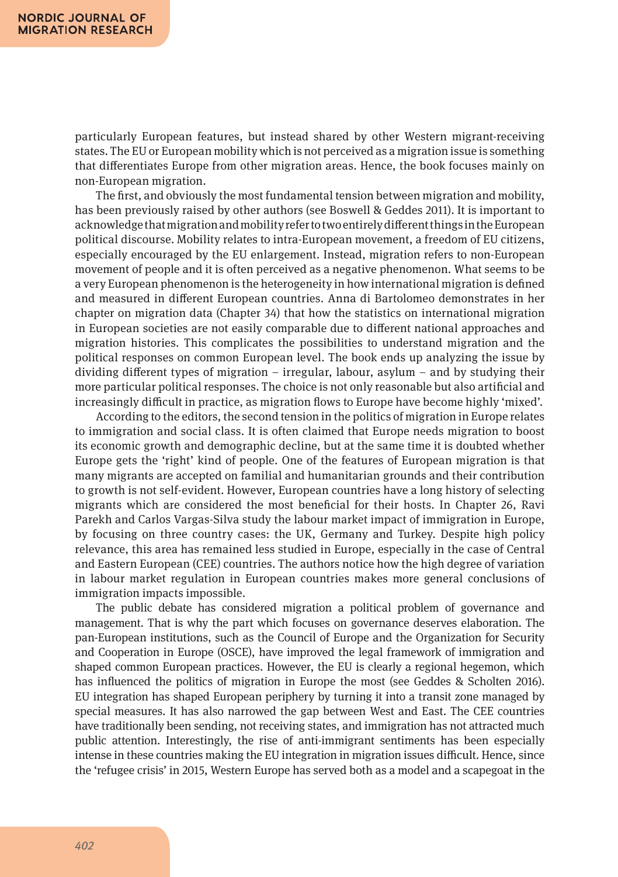particularly European features, but instead shared by other Western migrant-receiving states. The EU or European mobility which is not perceived as a migration issue is something that differentiates Europe from other migration areas. Hence, the book focuses mainly on non-European migration.

The first, and obviously the most fundamental tension between migration and mobility, has been previously raised by other authors (see Boswell & Geddes 2011). It is important to acknowledge that migration and mobility refer to two entirely different things in the European political discourse. Mobility relates to intra-European movement, a freedom of EU citizens, especially encouraged by the EU enlargement. Instead, migration refers to non-European movement of people and it is often perceived as a negative phenomenon. What seems to be a very European phenomenon is the heterogeneity in how international migration is defined and measured in different European countries. Anna di Bartolomeo demonstrates in her chapter on migration data (Chapter 34) that how the statistics on international migration in European societies are not easily comparable due to different national approaches and migration histories. This complicates the possibilities to understand migration and the political responses on common European level. The book ends up analyzing the issue by dividing different types of migration – irregular, labour, asylum – and by studying their more particular political responses. The choice is not only reasonable but also artificial and increasingly difficult in practice, as migration flows to Europe have become highly 'mixed'.

According to the editors, the second tension in the politics of migration in Europe relates to immigration and social class. It is often claimed that Europe needs migration to boost its economic growth and demographic decline, but at the same time it is doubted whether Europe gets the 'right' kind of people. One of the features of European migration is that many migrants are accepted on familial and humanitarian grounds and their contribution to growth is not self-evident. However, European countries have a long history of selecting migrants which are considered the most beneficial for their hosts. In Chapter 26, Ravi Parekh and Carlos Vargas-Silva study the labour market impact of immigration in Europe, by focusing on three country cases: the UK, Germany and Turkey. Despite high policy relevance, this area has remained less studied in Europe, especially in the case of Central and Eastern European (CEE) countries. The authors notice how the high degree of variation in labour market regulation in European countries makes more general conclusions of immigration impacts impossible.

The public debate has considered migration a political problem of governance and management. That is why the part which focuses on governance deserves elaboration. The pan-European institutions, such as the Council of Europe and the Organization for Security and Cooperation in Europe (OSCE), have improved the legal framework of immigration and shaped common European practices. However, the EU is clearly a regional hegemon, which has influenced the politics of migration in Europe the most (see Geddes & Scholten 2016). EU integration has shaped European periphery by turning it into a transit zone managed by special measures. It has also narrowed the gap between West and East. The CEE countries have traditionally been sending, not receiving states, and immigration has not attracted much public attention. Interestingly, the rise of anti-immigrant sentiments has been especially intense in these countries making the EU integration in migration issues difficult. Hence, since the 'refugee crisis' in 2015, Western Europe has served both as a model and a scapegoat in the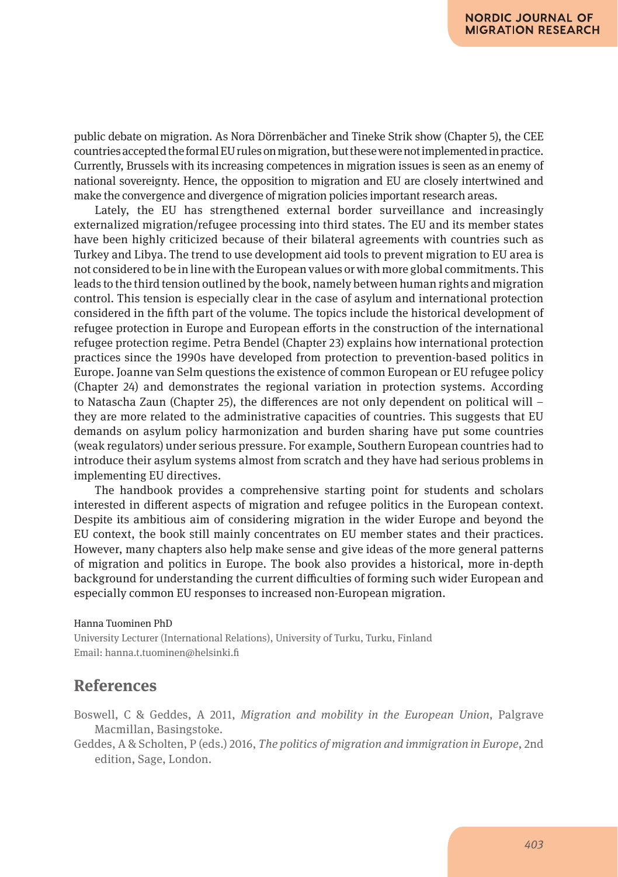public debate on migration. As Nora Dörrenbächer and Tineke Strik show (Chapter 5), the CEE countries accepted the formal EU rules on migration, but these were not implemented in practice. Currently, Brussels with its increasing competences in migration issues is seen as an enemy of national sovereignty. Hence, the opposition to migration and EU are closely intertwined and make the convergence and divergence of migration policies important research areas.

Lately, the EU has strengthened external border surveillance and increasingly externalized migration/refugee processing into third states. The EU and its member states have been highly criticized because of their bilateral agreements with countries such as Turkey and Libya. The trend to use development aid tools to prevent migration to EU area is not considered to be in line with the European values or with more global commitments. This leads to the third tension outlined by the book, namely between human rights and migration control. This tension is especially clear in the case of asylum and international protection considered in the fifth part of the volume. The topics include the historical development of refugee protection in Europe and European efforts in the construction of the international refugee protection regime. Petra Bendel (Chapter 23) explains how international protection practices since the 1990s have developed from protection to prevention-based politics in Europe. Joanne van Selm questions the existence of common European or EU refugee policy (Chapter 24) and demonstrates the regional variation in protection systems. According to Natascha Zaun (Chapter 25), the differences are not only dependent on political will – they are more related to the administrative capacities of countries. This suggests that EU demands on asylum policy harmonization and burden sharing have put some countries (weak regulators) under serious pressure. For example, Southern European countries had to introduce their asylum systems almost from scratch and they have had serious problems in implementing EU directives.

The handbook provides a comprehensive starting point for students and scholars interested in different aspects of migration and refugee politics in the European context. Despite its ambitious aim of considering migration in the wider Europe and beyond the EU context, the book still mainly concentrates on EU member states and their practices. However, many chapters also help make sense and give ideas of the more general patterns of migration and politics in Europe. The book also provides a historical, more in-depth background for understanding the current difficulties of forming such wider European and especially common EU responses to increased non-European migration.

#### Hanna Tuominen PhD

University Lecturer (International Relations), University of Turku, Turku, Finland Email: hanna.t.tuominen@helsinki.fi

# **References**

Boswell, C & Geddes, A 2011, *Migration and mobility in the European Union*, Palgrave Macmillan, Basingstoke.

Geddes, A & Scholten, P (eds.) 2016, *The politics of migration and immigration in Europe*, 2nd edition, Sage, London.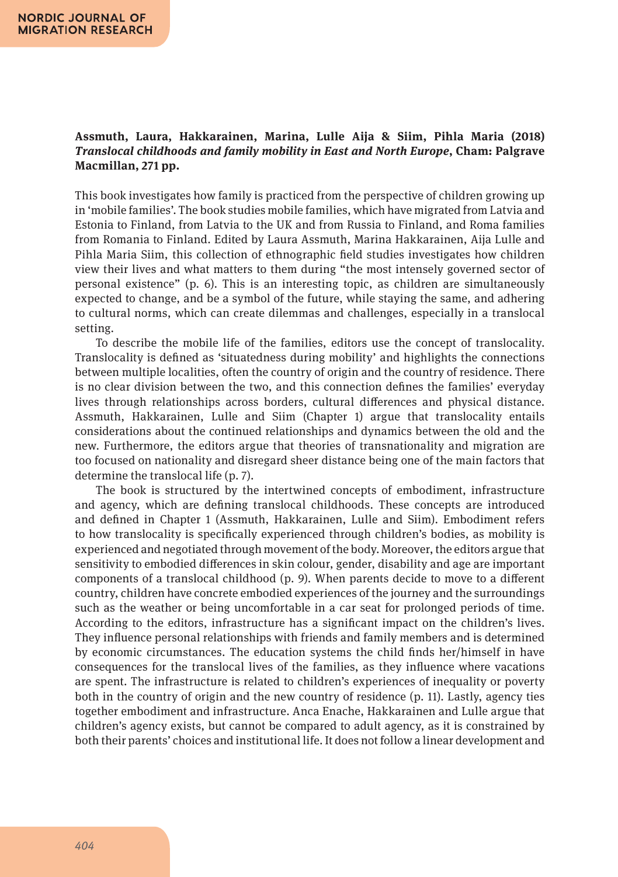### **Assmuth, Laura, Hakkarainen, Marina, Lulle Aija & Siim, Pihla Maria (2018)**  *Translocal childhoods and family mobility in East and North Europe***, Cham: Palgrave Macmillan, 271 pp.**

This book investigates how family is practiced from the perspective of children growing up in 'mobile families'. The book studies mobile families, which have migrated from Latvia and Estonia to Finland, from Latvia to the UK and from Russia to Finland, and Roma families from Romania to Finland. Edited by Laura Assmuth, Marina Hakkarainen, Aija Lulle and Pihla Maria Siim, this collection of ethnographic field studies investigates how children view their lives and what matters to them during "the most intensely governed sector of personal existence" (p. 6). This is an interesting topic, as children are simultaneously expected to change, and be a symbol of the future, while staying the same, and adhering to cultural norms, which can create dilemmas and challenges, especially in a translocal setting.

To describe the mobile life of the families, editors use the concept of translocality. Translocality is defined as 'situatedness during mobility' and highlights the connections between multiple localities, often the country of origin and the country of residence. There is no clear division between the two, and this connection defines the families' everyday lives through relationships across borders, cultural differences and physical distance. Assmuth, Hakkarainen, Lulle and Siim (Chapter 1) argue that translocality entails considerations about the continued relationships and dynamics between the old and the new. Furthermore, the editors argue that theories of transnationality and migration are too focused on nationality and disregard sheer distance being one of the main factors that determine the translocal life (p. 7).

The book is structured by the intertwined concepts of embodiment, infrastructure and agency, which are defining translocal childhoods. These concepts are introduced and defined in Chapter 1 (Assmuth, Hakkarainen, Lulle and Siim). Embodiment refers to how translocality is specifically experienced through children's bodies, as mobility is experienced and negotiated through movement of the body. Moreover, the editors argue that sensitivity to embodied differences in skin colour, gender, disability and age are important components of a translocal childhood (p. 9). When parents decide to move to a different country, children have concrete embodied experiences of the journey and the surroundings such as the weather or being uncomfortable in a car seat for prolonged periods of time. According to the editors, infrastructure has a significant impact on the children's lives. They influence personal relationships with friends and family members and is determined by economic circumstances. The education systems the child finds her/himself in have consequences for the translocal lives of the families, as they influence where vacations are spent. The infrastructure is related to children's experiences of inequality or poverty both in the country of origin and the new country of residence (p. 11). Lastly, agency ties together embodiment and infrastructure. Anca Enache, Hakkarainen and Lulle argue that children's agency exists, but cannot be compared to adult agency, as it is constrained by both their parents' choices and institutional life. It does not follow a linear development and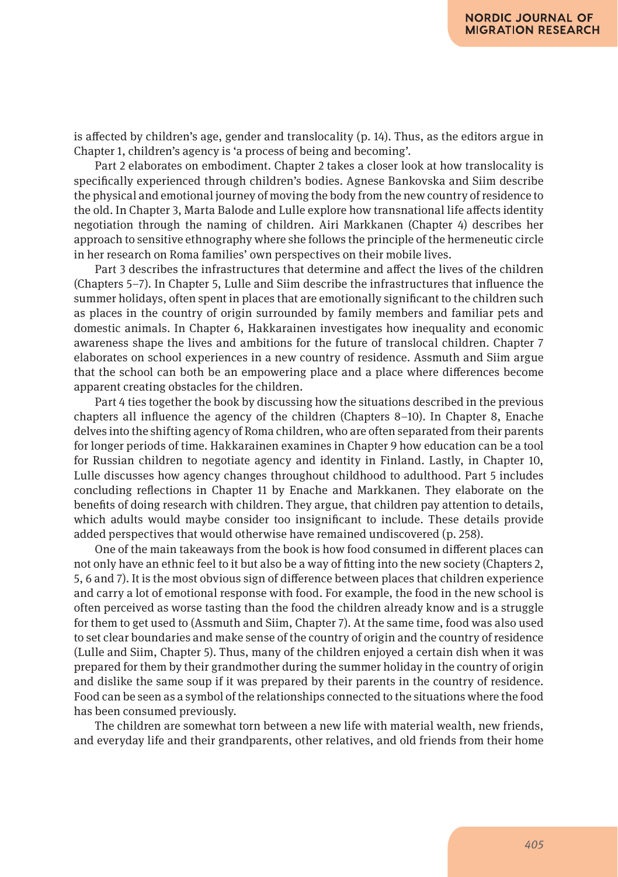is affected by children's age, gender and translocality (p. 14). Thus, as the editors argue in Chapter 1, children's agency is 'a process of being and becoming'.

Part 2 elaborates on embodiment. Chapter 2 takes a closer look at how translocality is specifically experienced through children's bodies. Agnese Bankovska and Siim describe the physical and emotional journey of moving the body from the new country of residence to the old. In Chapter 3, Marta Balode and Lulle explore how transnational life affects identity negotiation through the naming of children. Airi Markkanen (Chapter 4) describes her approach to sensitive ethnography where she follows the principle of the hermeneutic circle in her research on Roma families' own perspectives on their mobile lives.

Part 3 describes the infrastructures that determine and affect the lives of the children (Chapters 5–7). In Chapter 5, Lulle and Siim describe the infrastructures that influence the summer holidays, often spent in places that are emotionally significant to the children such as places in the country of origin surrounded by family members and familiar pets and domestic animals. In Chapter 6, Hakkarainen investigates how inequality and economic awareness shape the lives and ambitions for the future of translocal children. Chapter 7 elaborates on school experiences in a new country of residence. Assmuth and Siim argue that the school can both be an empowering place and a place where differences become apparent creating obstacles for the children.

Part 4 ties together the book by discussing how the situations described in the previous chapters all influence the agency of the children (Chapters 8–10). In Chapter 8, Enache delves into the shifting agency of Roma children, who are often separated from their parents for longer periods of time. Hakkarainen examines in Chapter 9 how education can be a tool for Russian children to negotiate agency and identity in Finland. Lastly, in Chapter 10, Lulle discusses how agency changes throughout childhood to adulthood. Part 5 includes concluding reflections in Chapter 11 by Enache and Markkanen. They elaborate on the benefits of doing research with children. They argue, that children pay attention to details, which adults would maybe consider too insignificant to include. These details provide added perspectives that would otherwise have remained undiscovered (p. 258).

One of the main takeaways from the book is how food consumed in different places can not only have an ethnic feel to it but also be a way of fitting into the new society (Chapters 2, 5, 6 and 7). It is the most obvious sign of difference between places that children experience and carry a lot of emotional response with food. For example, the food in the new school is often perceived as worse tasting than the food the children already know and is a struggle for them to get used to (Assmuth and Siim, Chapter 7). At the same time, food was also used to set clear boundaries and make sense of the country of origin and the country of residence (Lulle and Siim, Chapter 5). Thus, many of the children enjoyed a certain dish when it was prepared for them by their grandmother during the summer holiday in the country of origin and dislike the same soup if it was prepared by their parents in the country of residence. Food can be seen as a symbol of the relationships connected to the situations where the food has been consumed previously.

The children are somewhat torn between a new life with material wealth, new friends, and everyday life and their grandparents, other relatives, and old friends from their home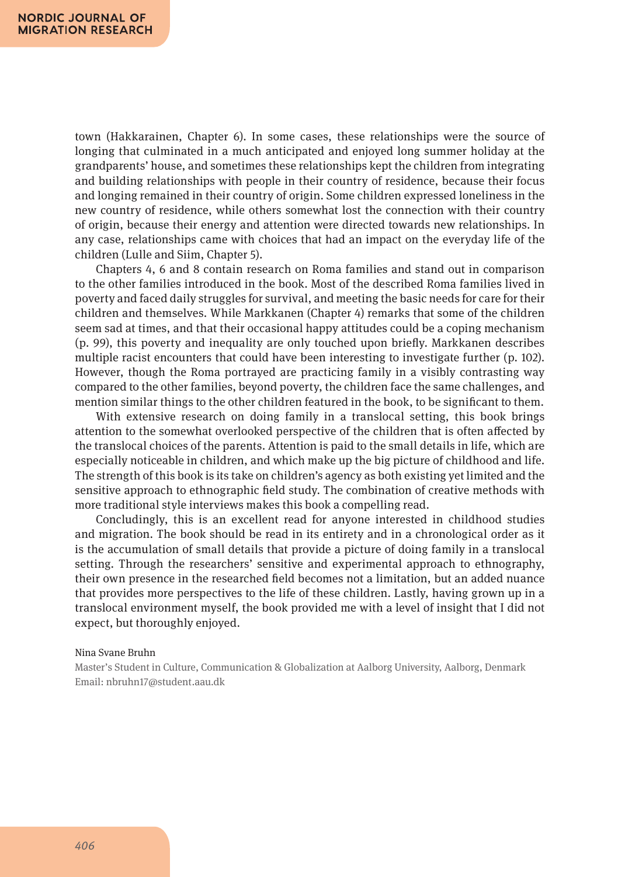town (Hakkarainen, Chapter 6). In some cases, these relationships were the source of longing that culminated in a much anticipated and enjoyed long summer holiday at the grandparents' house, and sometimes these relationships kept the children from integrating and building relationships with people in their country of residence, because their focus and longing remained in their country of origin. Some children expressed loneliness in the new country of residence, while others somewhat lost the connection with their country of origin, because their energy and attention were directed towards new relationships. In any case, relationships came with choices that had an impact on the everyday life of the children (Lulle and Siim, Chapter 5).

Chapters 4, 6 and 8 contain research on Roma families and stand out in comparison to the other families introduced in the book. Most of the described Roma families lived in poverty and faced daily struggles for survival, and meeting the basic needs for care for their children and themselves. While Markkanen (Chapter 4) remarks that some of the children seem sad at times, and that their occasional happy attitudes could be a coping mechanism (p. 99), this poverty and inequality are only touched upon briefly. Markkanen describes multiple racist encounters that could have been interesting to investigate further (p. 102). However, though the Roma portrayed are practicing family in a visibly contrasting way compared to the other families, beyond poverty, the children face the same challenges, and mention similar things to the other children featured in the book, to be significant to them.

With extensive research on doing family in a translocal setting, this book brings attention to the somewhat overlooked perspective of the children that is often affected by the translocal choices of the parents. Attention is paid to the small details in life, which are especially noticeable in children, and which make up the big picture of childhood and life. The strength of this book is its take on children's agency as both existing yet limited and the sensitive approach to ethnographic field study. The combination of creative methods with more traditional style interviews makes this book a compelling read.

Concludingly, this is an excellent read for anyone interested in childhood studies and migration. The book should be read in its entirety and in a chronological order as it is the accumulation of small details that provide a picture of doing family in a translocal setting. Through the researchers' sensitive and experimental approach to ethnography, their own presence in the researched field becomes not a limitation, but an added nuance that provides more perspectives to the life of these children. Lastly, having grown up in a translocal environment myself, the book provided me with a level of insight that I did not expect, but thoroughly enjoyed.

#### Nina Svane Bruhn

Master's Student in Culture, Communication & Globalization at Aalborg University, Aalborg, Denmark Email: nbruhn17@student.aau.dk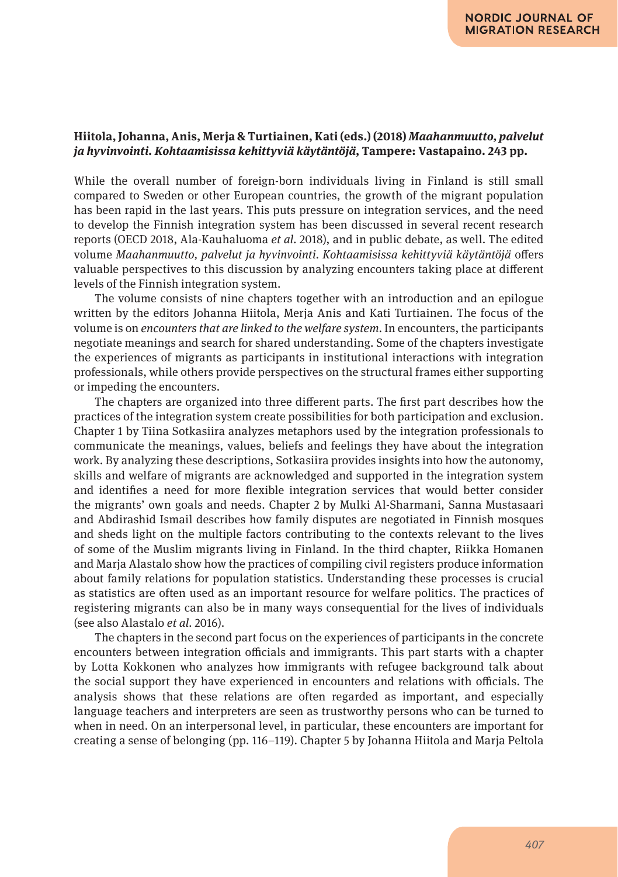### **Hiitola, Johanna, Anis, Merja & Turtiainen, Kati (eds.) (2018)** *Maahanmuutto, palvelut ja hyvinvointi. Kohtaamisissa kehittyviä käytäntöjä***, Tampere: Vastapaino. 243 pp.**

While the overall number of foreign-born individuals living in Finland is still small compared to Sweden or other European countries, the growth of the migrant population has been rapid in the last years. This puts pressure on integration services, and the need to develop the Finnish integration system has been discussed in several recent research reports (OECD 2018, Ala-Kauhaluoma *et al.* 2018), and in public debate, as well. The edited volume *Maahanmuutto, palvelut ja hyvinvointi. Kohtaamisissa kehittyviä käytäntöjä* offers valuable perspectives to this discussion by analyzing encounters taking place at different levels of the Finnish integration system.

The volume consists of nine chapters together with an introduction and an epilogue written by the editors Johanna Hiitola, Merja Anis and Kati Turtiainen. The focus of the volume is on *encounters that are linked to the welfare system.* In encounters, the participants negotiate meanings and search for shared understanding. Some of the chapters investigate the experiences of migrants as participants in institutional interactions with integration professionals, while others provide perspectives on the structural frames either supporting or impeding the encounters.

The chapters are organized into three different parts. The first part describes how the practices of the integration system create possibilities for both participation and exclusion. Chapter 1 by Tiina Sotkasiira analyzes metaphors used by the integration professionals to communicate the meanings, values, beliefs and feelings they have about the integration work. By analyzing these descriptions, Sotkasiira provides insights into how the autonomy, skills and welfare of migrants are acknowledged and supported in the integration system and identifies a need for more flexible integration services that would better consider the migrants' own goals and needs. Chapter 2 by Mulki Al-Sharmani, Sanna Mustasaari and Abdirashid Ismail describes how family disputes are negotiated in Finnish mosques and sheds light on the multiple factors contributing to the contexts relevant to the lives of some of the Muslim migrants living in Finland. In the third chapter, Riikka Homanen and Marja Alastalo show how the practices of compiling civil registers produce information about family relations for population statistics. Understanding these processes is crucial as statistics are often used as an important resource for welfare politics. The practices of registering migrants can also be in many ways consequential for the lives of individuals (see also Alastalo *et al.* 2016).

The chapters in the second part focus on the experiences of participants in the concrete encounters between integration officials and immigrants. This part starts with a chapter by Lotta Kokkonen who analyzes how immigrants with refugee background talk about the social support they have experienced in encounters and relations with officials. The analysis shows that these relations are often regarded as important, and especially language teachers and interpreters are seen as trustworthy persons who can be turned to when in need. On an interpersonal level, in particular, these encounters are important for creating a sense of belonging (pp. 116–119). Chapter 5 by Johanna Hiitola and Marja Peltola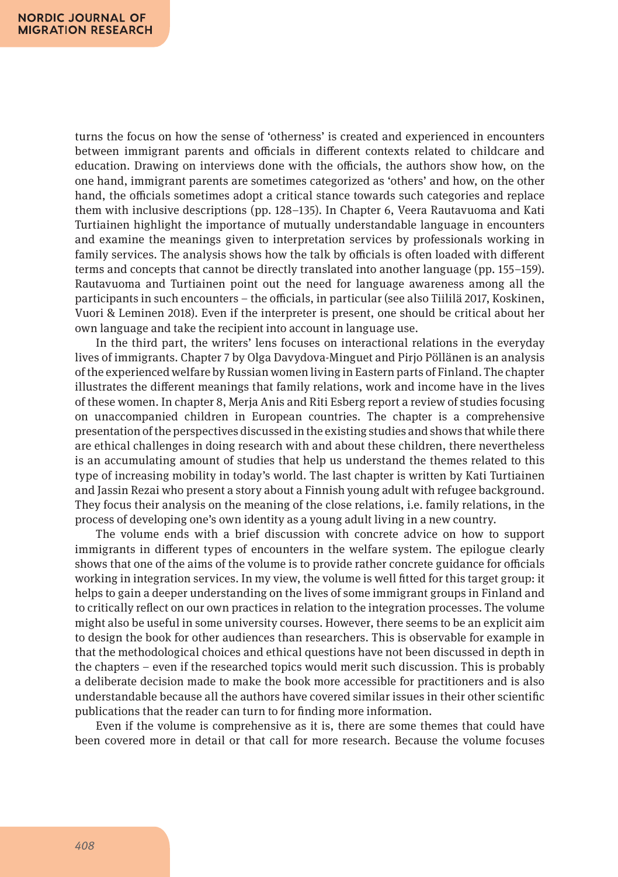turns the focus on how the sense of 'otherness' is created and experienced in encounters between immigrant parents and officials in different contexts related to childcare and education. Drawing on interviews done with the officials, the authors show how, on the one hand, immigrant parents are sometimes categorized as 'others' and how, on the other hand, the officials sometimes adopt a critical stance towards such categories and replace them with inclusive descriptions (pp. 128–135). In Chapter 6, Veera Rautavuoma and Kati Turtiainen highlight the importance of mutually understandable language in encounters and examine the meanings given to interpretation services by professionals working in family services. The analysis shows how the talk by officials is often loaded with different terms and concepts that cannot be directly translated into another language (pp. 155–159). Rautavuoma and Turtiainen point out the need for language awareness among all the participants in such encounters – the officials, in particular (see also Tiililä 2017, Koskinen, Vuori & Leminen 2018). Even if the interpreter is present, one should be critical about her own language and take the recipient into account in language use.

In the third part, the writers' lens focuses on interactional relations in the everyday lives of immigrants. Chapter 7 by Olga Davydova-Minguet and Pirjo Pöllänen is an analysis of the experienced welfare by Russian women living in Eastern parts of Finland. The chapter illustrates the different meanings that family relations, work and income have in the lives of these women. In chapter 8, Merja Anis and Riti Esberg report a review of studies focusing on unaccompanied children in European countries. The chapter is a comprehensive presentation of the perspectives discussed in the existing studies and shows that while there are ethical challenges in doing research with and about these children, there nevertheless is an accumulating amount of studies that help us understand the themes related to this type of increasing mobility in today's world. The last chapter is written by Kati Turtiainen and Jassin Rezai who present a story about a Finnish young adult with refugee background. They focus their analysis on the meaning of the close relations, i.e. family relations, in the process of developing one's own identity as a young adult living in a new country.

The volume ends with a brief discussion with concrete advice on how to support immigrants in different types of encounters in the welfare system. The epilogue clearly shows that one of the aims of the volume is to provide rather concrete guidance for officials working in integration services. In my view, the volume is well fitted for this target group: it helps to gain a deeper understanding on the lives of some immigrant groups in Finland and to critically reflect on our own practices in relation to the integration processes. The volume might also be useful in some university courses. However, there seems to be an explicit aim to design the book for other audiences than researchers. This is observable for example in that the methodological choices and ethical questions have not been discussed in depth in the chapters – even if the researched topics would merit such discussion. This is probably a deliberate decision made to make the book more accessible for practitioners and is also understandable because all the authors have covered similar issues in their other scientific publications that the reader can turn to for finding more information.

Even if the volume is comprehensive as it is, there are some themes that could have been covered more in detail or that call for more research. Because the volume focuses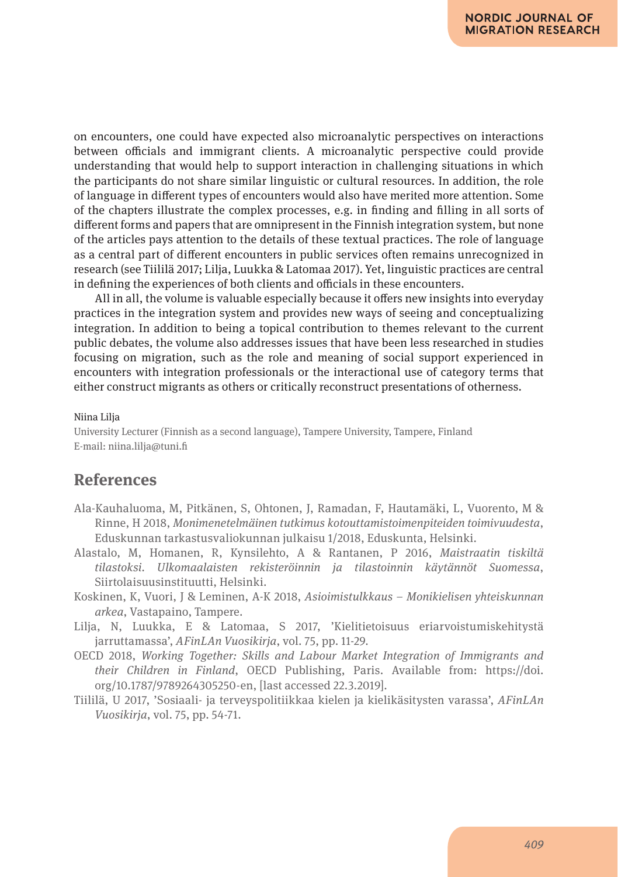on encounters, one could have expected also microanalytic perspectives on interactions between officials and immigrant clients. A microanalytic perspective could provide understanding that would help to support interaction in challenging situations in which the participants do not share similar linguistic or cultural resources. In addition, the role of language in different types of encounters would also have merited more attention. Some of the chapters illustrate the complex processes, e.g. in finding and filling in all sorts of different forms and papers that are omnipresent in the Finnish integration system, but none of the articles pays attention to the details of these textual practices. The role of language as a central part of different encounters in public services often remains unrecognized in research (see Tiililä 2017; Lilja, Luukka & Latomaa 2017). Yet, linguistic practices are central in defining the experiences of both clients and officials in these encounters.

All in all, the volume is valuable especially because it offers new insights into everyday practices in the integration system and provides new ways of seeing and conceptualizing integration. In addition to being a topical contribution to themes relevant to the current public debates, the volume also addresses issues that have been less researched in studies focusing on migration, such as the role and meaning of social support experienced in encounters with integration professionals or the interactional use of category terms that either construct migrants as others or critically reconstruct presentations of otherness.

#### Niina Lilja

University Lecturer (Finnish as a second language), Tampere University, Tampere, Finland E-mail: niina.lilja@tuni.fi

## **References**

- Ala-Kauhaluoma, M, Pitkänen, S, Ohtonen, J, Ramadan, F, Hautamäki, L, Vuorento, M & Rinne, H 2018, *Monimenetelmäinen tutkimus kotouttamistoimenpiteiden toimivuudesta*, Eduskunnan tarkastusvaliokunnan julkaisu 1/2018, Eduskunta, Helsinki.
- Alastalo, M, Homanen, R, Kynsilehto, A & Rantanen, P 2016, *Maistraatin tiskiltä tilastoksi. Ulkomaalaisten rekisteröinnin ja tilastoinnin käytännöt Suomessa*, Siirtolaisuusinstituutti, Helsinki.
- Koskinen, K, Vuori, J & Leminen, A-K 2018, *Asioimistulkkaus Monikielisen yhteiskunnan arkea*, Vastapaino, Tampere.
- Lilja, N, Luukka, E & Latomaa, S 2017, 'Kielitietoisuus eriarvoistumiskehitystä jarruttamassa', *AFinLAn Vuosikirja*, vol. 75, pp. 11-29.
- OECD 2018, *Working Together: Skills and Labour Market Integration of Immigrants and their Children in Finland*, OECD Publishing, Paris. Available from: https://doi. org/10.1787/9789264305250-en, [last accessed 22.3.2019].
- Tiililä, U 2017, 'Sosiaali- ja terveyspolitiikkaa kielen ja kielikäsitysten varassa', *AFinLAn Vuosikirja*, vol. 75, pp. 54-71.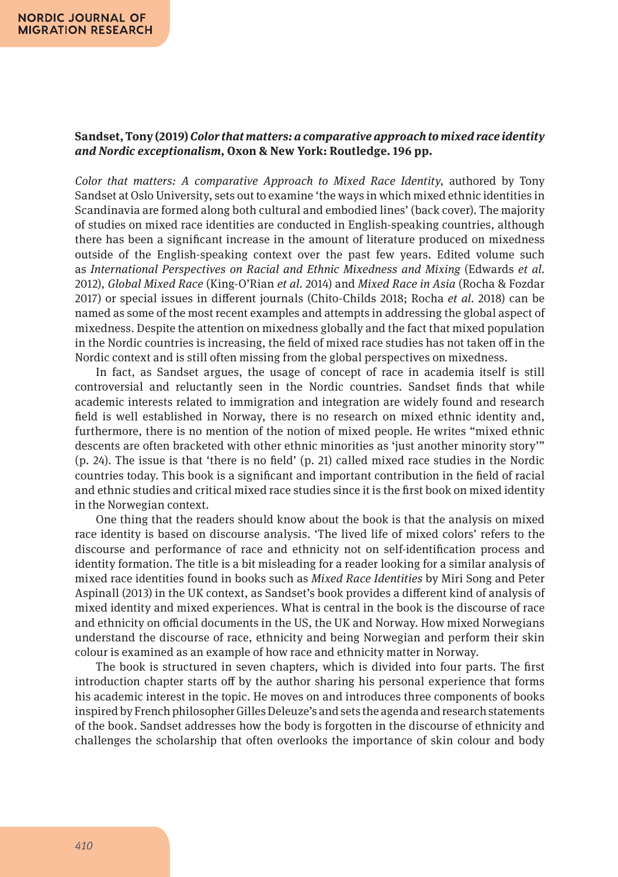### **Sandset, Tony (2019)** *Color that matters: a comparative approach to mixed race identity and Nordic exceptionalism***, Oxon & New York: Routledge. 196 pp.**

*Color that matters: A comparative Approach to Mixed Race Identity*, authored by Tony Sandset at Oslo University, sets out to examine 'the ways in which mixed ethnic identities in Scandinavia are formed along both cultural and embodied lines' (back cover). The majority of studies on mixed race identities are conducted in English-speaking countries, although there has been a significant increase in the amount of literature produced on mixedness outside of the English-speaking context over the past few years. Edited volume such as *International Perspectives on Racial and Ethnic Mixedness and Mixing* (Edwards *et al.* 2012), *Global Mixed Race* (King-O'Rian *et al.* 2014) and *Mixed Race in Asia* (Rocha & Fozdar 2017) or special issues in different journals (Chito-Childs 2018; Rocha *et al.* 2018) can be named as some of the most recent examples and attempts in addressing the global aspect of mixedness. Despite the attention on mixedness globally and the fact that mixed population in the Nordic countries is increasing, the field of mixed race studies has not taken off in the Nordic context and is still often missing from the global perspectives on mixedness.

In fact, as Sandset argues, the usage of concept of race in academia itself is still controversial and reluctantly seen in the Nordic countries. Sandset finds that while academic interests related to immigration and integration are widely found and research field is well established in Norway, there is no research on mixed ethnic identity and, furthermore, there is no mention of the notion of mixed people. He writes "mixed ethnic descents are often bracketed with other ethnic minorities as 'just another minority story'" (p. 24). The issue is that 'there is no field' (p. 21) called mixed race studies in the Nordic countries today. This book is a significant and important contribution in the field of racial and ethnic studies and critical mixed race studies since it is the first book on mixed identity in the Norwegian context.

One thing that the readers should know about the book is that the analysis on mixed race identity is based on discourse analysis. 'The lived life of mixed colors' refers to the discourse and performance of race and ethnicity not on self-identification process and identity formation. The title is a bit misleading for a reader looking for a similar analysis of mixed race identities found in books such as *Mixed Race Identities* by Miri Song and Peter Aspinall (2013) in the UK context, as Sandset's book provides a different kind of analysis of mixed identity and mixed experiences. What is central in the book is the discourse of race and ethnicity on official documents in the US, the UK and Norway. How mixed Norwegians understand the discourse of race, ethnicity and being Norwegian and perform their skin colour is examined as an example of how race and ethnicity matter in Norway.

The book is structured in seven chapters, which is divided into four parts. The first introduction chapter starts off by the author sharing his personal experience that forms his academic interest in the topic. He moves on and introduces three components of books inspired by French philosopher Gilles Deleuze's and sets the agenda and research statements of the book. Sandset addresses how the body is forgotten in the discourse of ethnicity and challenges the scholarship that often overlooks the importance of skin colour and body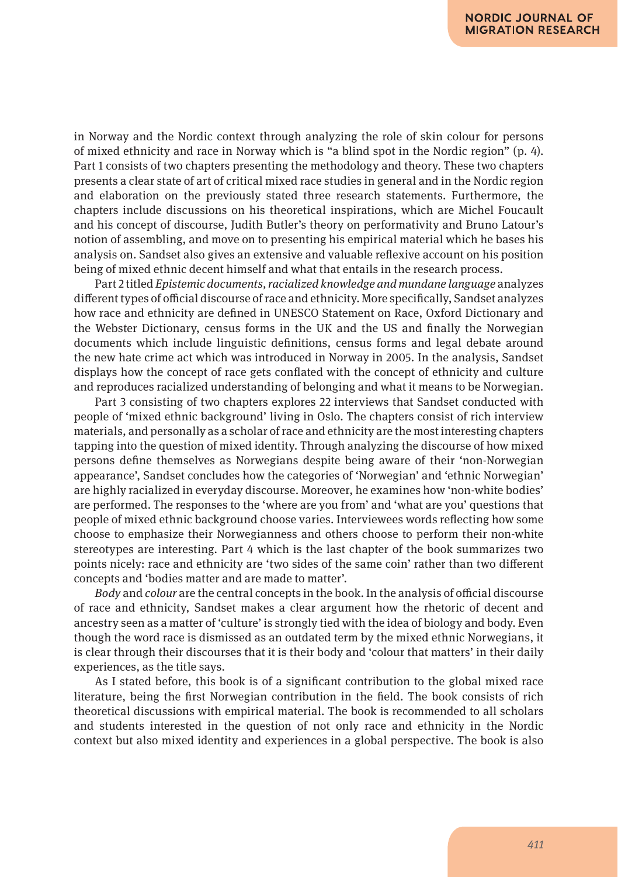in Norway and the Nordic context through analyzing the role of skin colour for persons of mixed ethnicity and race in Norway which is "a blind spot in the Nordic region" (p. 4). Part 1 consists of two chapters presenting the methodology and theory. These two chapters presents a clear state of art of critical mixed race studies in general and in the Nordic region and elaboration on the previously stated three research statements. Furthermore, the chapters include discussions on his theoretical inspirations, which are Michel Foucault and his concept of discourse, Judith Butler's theory on performativity and Bruno Latour's notion of assembling, and move on to presenting his empirical material which he bases his analysis on. Sandset also gives an extensive and valuable reflexive account on his position being of mixed ethnic decent himself and what that entails in the research process.

Part 2 titled *Epistemic documents, racialized knowledge and mundane language* analyzes different types of official discourse of race and ethnicity. More specifically, Sandset analyzes how race and ethnicity are defined in UNESCO Statement on Race, Oxford Dictionary and the Webster Dictionary, census forms in the UK and the US and finally the Norwegian documents which include linguistic definitions, census forms and legal debate around the new hate crime act which was introduced in Norway in 2005. In the analysis, Sandset displays how the concept of race gets conflated with the concept of ethnicity and culture and reproduces racialized understanding of belonging and what it means to be Norwegian.

Part 3 consisting of two chapters explores 22 interviews that Sandset conducted with people of 'mixed ethnic background' living in Oslo. The chapters consist of rich interview materials, and personally as a scholar of race and ethnicity are the most interesting chapters tapping into the question of mixed identity. Through analyzing the discourse of how mixed persons define themselves as Norwegians despite being aware of their 'non-Norwegian appearance', Sandset concludes how the categories of 'Norwegian' and 'ethnic Norwegian' are highly racialized in everyday discourse. Moreover, he examines how 'non-white bodies' are performed. The responses to the 'where are you from' and 'what are you' questions that people of mixed ethnic background choose varies. Interviewees words reflecting how some choose to emphasize their Norwegianness and others choose to perform their non-white stereotypes are interesting. Part 4 which is the last chapter of the book summarizes two points nicely: race and ethnicity are 'two sides of the same coin' rather than two different concepts and 'bodies matter and are made to matter'.

*Body* and *colour* are the central concepts in the book. In the analysis of official discourse of race and ethnicity, Sandset makes a clear argument how the rhetoric of decent and ancestry seen as a matter of 'culture' is strongly tied with the idea of biology and body. Even though the word race is dismissed as an outdated term by the mixed ethnic Norwegians, it is clear through their discourses that it is their body and 'colour that matters' in their daily experiences, as the title says.

As I stated before, this book is of a significant contribution to the global mixed race literature, being the first Norwegian contribution in the field. The book consists of rich theoretical discussions with empirical material. The book is recommended to all scholars and students interested in the question of not only race and ethnicity in the Nordic context but also mixed identity and experiences in a global perspective. The book is also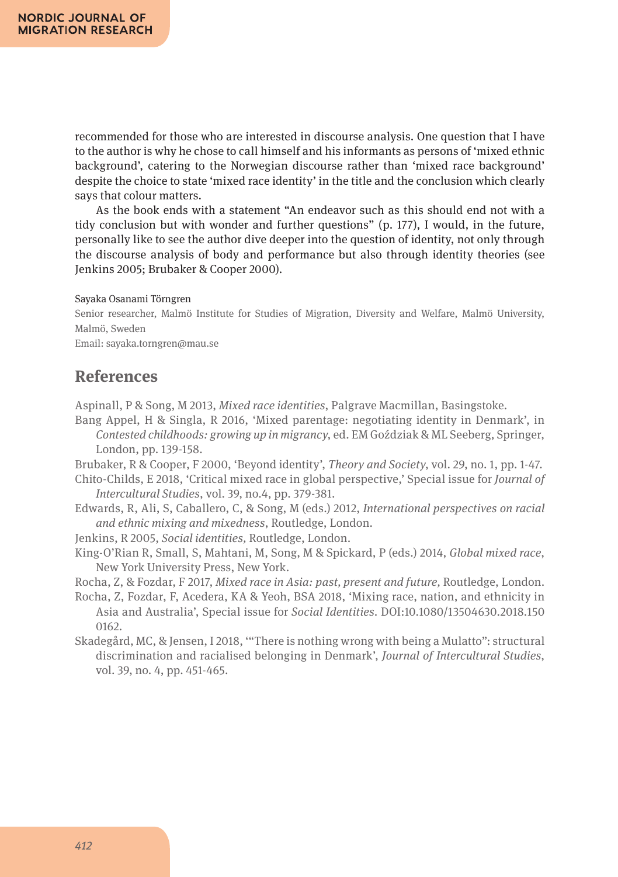recommended for those who are interested in discourse analysis. One question that I have to the author is why he chose to call himself and his informants as persons of 'mixed ethnic background', catering to the Norwegian discourse rather than 'mixed race background' despite the choice to state 'mixed race identity' in the title and the conclusion which clearly says that colour matters.

As the book ends with a statement "An endeavor such as this should end not with a tidy conclusion but with wonder and further questions" (p. 177), I would, in the future, personally like to see the author dive deeper into the question of identity, not only through the discourse analysis of body and performance but also through identity theories (see Jenkins 2005; Brubaker & Cooper 2000).

#### Sayaka Osanami Törngren

Senior researcher, Malmö Institute for Studies of Migration, Diversity and Welfare, Malmö University, Malmö, Sweden

Email: sayaka.torngren@mau.se

# **References**

Aspinall, P & Song, M 2013, *Mixed race identities*, Palgrave Macmillan, Basingstoke.

Bang Appel, H & Singla, R 2016, 'Mixed parentage: negotiating identity in Denmark', in *Contested childhoods: growing up in migrancy*, ed. EM Goździak & ML Seeberg, Springer, London, pp. 139-158.

Brubaker, R & Cooper, F 2000, 'Beyond identity', *Theory and Society*, vol. 29, no. 1, pp. 1-47.

- Chito-Childs, E 2018, 'Critical mixed race in global perspective,' Special issue for *Journal of Intercultural Studies*, vol. 39, no.4, pp. 379-381.
- Edwards, R, Ali, S, Caballero, C, & Song, M (eds.) 2012, *International perspectives on racial and ethnic mixing and mixedness*, Routledge, London.
- Jenkins, R 2005, *Social identities,* Routledge, London.
- King-O'Rian R, Small, S, Mahtani, M, Song, M & Spickard, P (eds.) 2014, *Global mixed race*, New York University Press, New York.

Rocha, Z, & Fozdar, F 2017, *Mixed race in Asia: past, present and future,* Routledge, London.

- Rocha, Z, Fozdar, F, Acedera, KA & Yeoh, BSA 2018, 'Mixing race, nation, and ethnicity in Asia and Australia', Special issue for *Social Identities*. DOI:10.1080/13504630.2018.150 0162.
- Skadegård, MC, & Jensen, I 2018, '"There is nothing wrong with being a Mulatto": structural discrimination and racialised belonging in Denmark', *Journal of Intercultural Studies*, vol. 39, no. 4, pp. 451-465.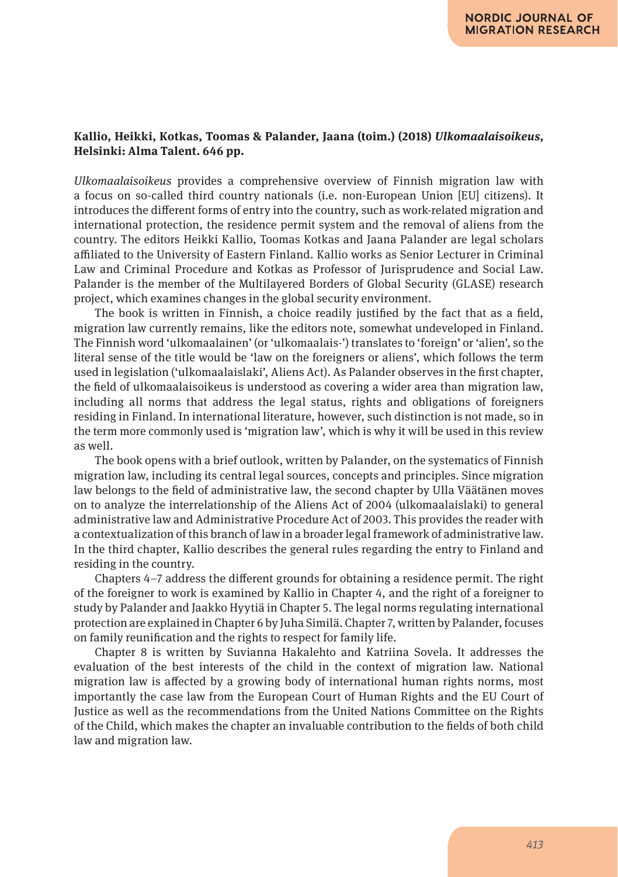### **Kallio, Heikki, Kotkas, Toomas & Palander, Jaana (toim.) (2018)** *Ulkomaalaisoikeus***, Helsinki: Alma Talent. 646 pp.**

*Ulkomaalaisoikeus* provides a comprehensive overview of Finnish migration law with a focus on so-called third country nationals (i.e. non-European Union [EU] citizens). It introduces the different forms of entry into the country, such as work-related migration and international protection, the residence permit system and the removal of aliens from the country. The editors Heikki Kallio, Toomas Kotkas and Jaana Palander are legal scholars affiliated to the University of Eastern Finland. Kallio works as Senior Lecturer in Criminal Law and Criminal Procedure and Kotkas as Professor of Jurisprudence and Social Law. Palander is the member of the Multilayered Borders of Global Security (GLASE) research project, which examines changes in the global security environment.

The book is written in Finnish, a choice readily justified by the fact that as a field, migration law currently remains, like the editors note, somewhat undeveloped in Finland. The Finnish word 'ulkomaalainen' (or 'ulkomaalais-') translates to 'foreign' or 'alien', so the literal sense of the title would be 'law on the foreigners or aliens', which follows the term used in legislation ('ulkomaalaislaki', Aliens Act). As Palander observes in the first chapter, the field of ulkomaalaisoikeus is understood as covering a wider area than migration law, including all norms that address the legal status, rights and obligations of foreigners residing in Finland. In international literature, however, such distinction is not made, so in the term more commonly used is 'migration law', which is why it will be used in this review as well.

The book opens with a brief outlook, written by Palander, on the systematics of Finnish migration law, including its central legal sources, concepts and principles. Since migration law belongs to the field of administrative law, the second chapter by Ulla Väätänen moves on to analyze the interrelationship of the Aliens Act of 2004 (ulkomaalaislaki) to general administrative law and Administrative Procedure Act of 2003. This provides the reader with a contextualization of this branch of law in a broader legal framework of administrative law. In the third chapter, Kallio describes the general rules regarding the entry to Finland and residing in the country.

Chapters 4–7 address the different grounds for obtaining a residence permit. The right of the foreigner to work is examined by Kallio in Chapter 4, and the right of a foreigner to study by Palander and Jaakko Hyytiä in Chapter 5. The legal norms regulating international protection are explained in Chapter 6 by Juha Similä. Chapter 7, written by Palander, focuses on family reunification and the rights to respect for family life.

Chapter 8 is written by Suvianna Hakalehto and Katriina Sovela. It addresses the evaluation of the best interests of the child in the context of migration law. National migration law is affected by a growing body of international human rights norms, most importantly the case law from the European Court of Human Rights and the EU Court of Justice as well as the recommendations from the United Nations Committee on the Rights of the Child, which makes the chapter an invaluable contribution to the fields of both child law and migration law.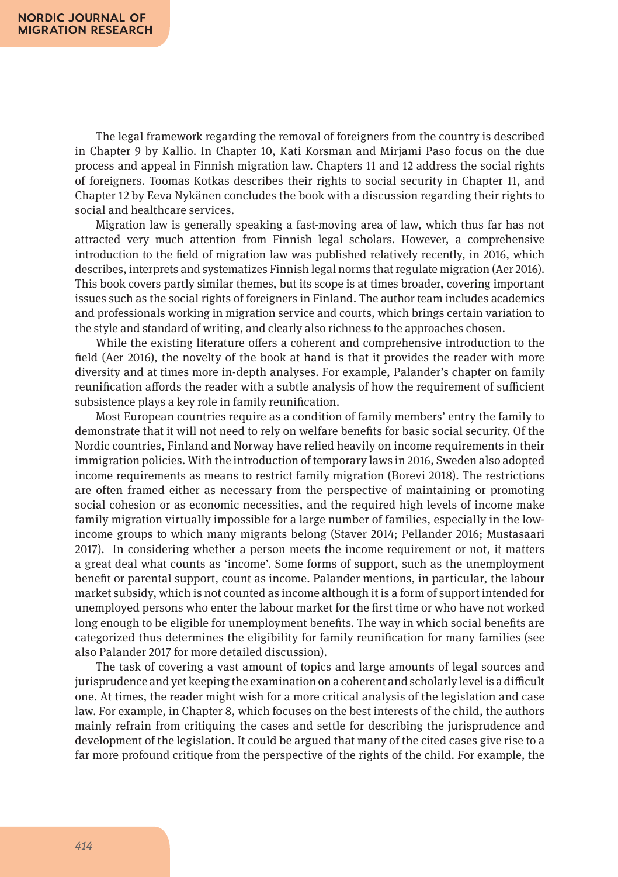The legal framework regarding the removal of foreigners from the country is described in Chapter 9 by Kallio. In Chapter 10, Kati Korsman and Mirjami Paso focus on the due process and appeal in Finnish migration law. Chapters 11 and 12 address the social rights of foreigners. Toomas Kotkas describes their rights to social security in Chapter 11, and Chapter 12 by Eeva Nykänen concludes the book with a discussion regarding their rights to social and healthcare services.

Migration law is generally speaking a fast-moving area of law, which thus far has not attracted very much attention from Finnish legal scholars. However, a comprehensive introduction to the field of migration law was published relatively recently, in 2016, which describes, interprets and systematizes Finnish legal norms that regulate migration (Aer 2016). This book covers partly similar themes, but its scope is at times broader, covering important issues such as the social rights of foreigners in Finland. The author team includes academics and professionals working in migration service and courts, which brings certain variation to the style and standard of writing, and clearly also richness to the approaches chosen.

While the existing literature offers a coherent and comprehensive introduction to the field (Aer 2016), the novelty of the book at hand is that it provides the reader with more diversity and at times more in-depth analyses. For example, Palander's chapter on family reunification affords the reader with a subtle analysis of how the requirement of sufficient subsistence plays a key role in family reunification.

Most European countries require as a condition of family members' entry the family to demonstrate that it will not need to rely on welfare benefits for basic social security. Of the Nordic countries, Finland and Norway have relied heavily on income requirements in their immigration policies. With the introduction of temporary laws in 2016, Sweden also adopted income requirements as means to restrict family migration (Borevi 2018). The restrictions are often framed either as necessary from the perspective of maintaining or promoting social cohesion or as economic necessities, and the required high levels of income make family migration virtually impossible for a large number of families, especially in the lowincome groups to which many migrants belong (Staver 2014; Pellander 2016; Mustasaari 2017). In considering whether a person meets the income requirement or not, it matters a great deal what counts as 'income'. Some forms of support, such as the unemployment benefit or parental support, count as income. Palander mentions, in particular, the labour market subsidy, which is not counted as income although it is a form of support intended for unemployed persons who enter the labour market for the first time or who have not worked long enough to be eligible for unemployment benefits. The way in which social benefits are categorized thus determines the eligibility for family reunification for many families (see also Palander 2017 for more detailed discussion).

The task of covering a vast amount of topics and large amounts of legal sources and jurisprudence and yet keeping the examination on a coherent and scholarly level is a difficult one. At times, the reader might wish for a more critical analysis of the legislation and case law. For example, in Chapter 8, which focuses on the best interests of the child, the authors mainly refrain from critiquing the cases and settle for describing the jurisprudence and development of the legislation. It could be argued that many of the cited cases give rise to a far more profound critique from the perspective of the rights of the child. For example, the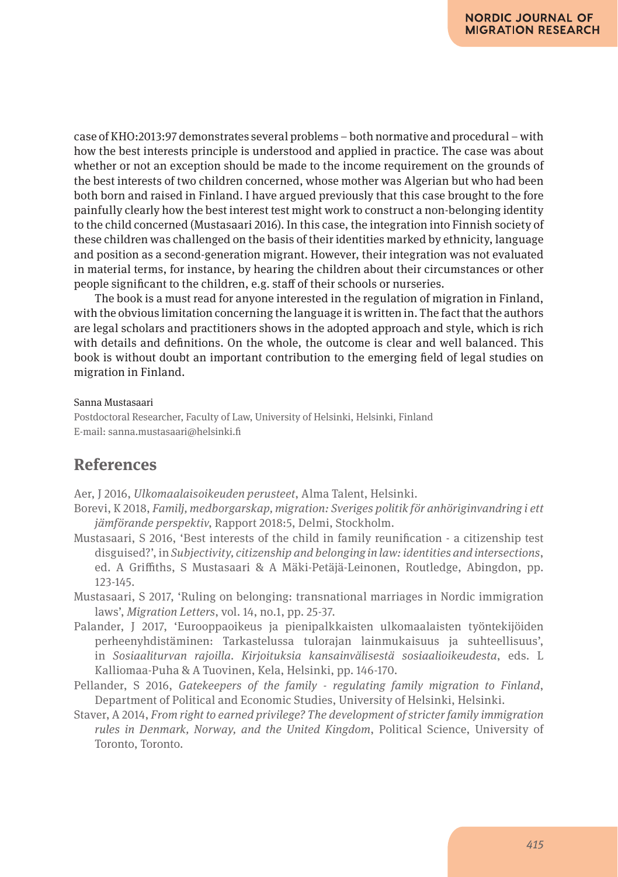case of KHO:2013:97 demonstrates several problems – both normative and procedural – with how the best interests principle is understood and applied in practice. The case was about whether or not an exception should be made to the income requirement on the grounds of the best interests of two children concerned, whose mother was Algerian but who had been both born and raised in Finland. I have argued previously that this case brought to the fore painfully clearly how the best interest test might work to construct a non-belonging identity to the child concerned (Mustasaari 2016). In this case, the integration into Finnish society of these children was challenged on the basis of their identities marked by ethnicity, language and position as a second-generation migrant. However, their integration was not evaluated in material terms, for instance, by hearing the children about their circumstances or other people significant to the children, e.g. staff of their schools or nurseries.

The book is a must read for anyone interested in the regulation of migration in Finland, with the obvious limitation concerning the language it is written in. The fact that the authors are legal scholars and practitioners shows in the adopted approach and style, which is rich with details and definitions. On the whole, the outcome is clear and well balanced. This book is without doubt an important contribution to the emerging field of legal studies on migration in Finland.

#### Sanna Mustasaari

Postdoctoral Researcher, Faculty of Law, University of Helsinki, Helsinki, Finland E-mail: sanna.mustasaari@helsinki.fi

# **References**

Aer, J 2016, *Ulkomaalaisoikeuden perusteet*, Alma Talent, Helsinki.

- Borevi, K 2018, *Familj, medborgarskap, migration: Sveriges politik för anhöriginvandring i ett jämförande perspektiv*, Rapport 2018:5, Delmi, Stockholm.
- Mustasaari, S 2016, 'Best interests of the child in family reunification a citizenship test disguised?', in *Subjectivity, citizenship and belonging in law: identities and intersections*, ed. A Griffiths, S Mustasaari & A Mäki-Petäjä-Leinonen, Routledge, Abingdon, pp. 123-145.
- Mustasaari, S 2017, 'Ruling on belonging: transnational marriages in Nordic immigration laws', *Migration Letters*, vol. 14, no.1, pp. 25-37.
- Palander, J 2017, 'Eurooppaoikeus ja pienipalkkaisten ulkomaalaisten työntekijöiden perheenyhdistäminen: Tarkastelussa tulorajan lainmukaisuus ja suhteellisuus', in *Sosiaaliturvan rajoilla. Kirjoituksia kansainvälisestä sosiaalioikeudesta*, eds. L Kalliomaa-Puha & A Tuovinen, Kela, Helsinki, pp. 146-170.
- Pellander, S 2016, *Gatekeepers of the family regulating family migration to Finland*, Department of Political and Economic Studies, University of Helsinki, Helsinki.
- Staver, A 2014, *From right to earned privilege? The development of stricter family immigration rules in Denmark, Norway, and the United Kingdom*, Political Science, University of Toronto, Toronto.